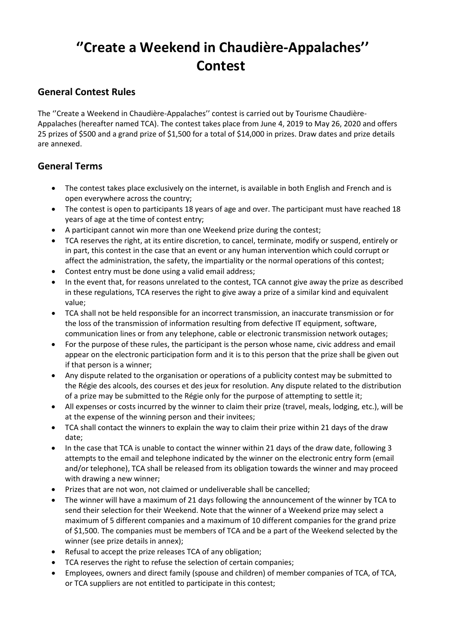# **''Create a Weekend in Chaudière-Appalaches'' Contest**

# **General Contest Rules**

The ''Create a Weekend in Chaudière-Appalaches'' contest is carried out by Tourisme Chaudière-Appalaches (hereafter named TCA). The contest takes place from June 4, 2019 to May 26, 2020 and offers 25 prizes of \$500 and a grand prize of \$1,500 for a total of \$14,000 in prizes. Draw dates and prize details are annexed.

# **General Terms**

- The contest takes place exclusively on the internet, is available in both English and French and is open everywhere across the country;
- The contest is open to participants 18 years of age and over. The participant must have reached 18 years of age at the time of contest entry;
- A participant cannot win more than one Weekend prize during the contest;
- TCA reserves the right, at its entire discretion, to cancel, terminate, modify or suspend, entirely or in part, this contest in the case that an event or any human intervention which could corrupt or affect the administration, the safety, the impartiality or the normal operations of this contest;
- Contest entry must be done using a valid email address;
- In the event that, for reasons unrelated to the contest, TCA cannot give away the prize as described in these regulations, TCA reserves the right to give away a prize of a similar kind and equivalent value;
- TCA shall not be held responsible for an incorrect transmission, an inaccurate transmission or for the loss of the transmission of information resulting from defective IT equipment, software, communication lines or from any telephone, cable or electronic transmission network outages;
- For the purpose of these rules, the participant is the person whose name, civic address and email appear on the electronic participation form and it is to this person that the prize shall be given out if that person is a winner;
- Any dispute related to the organisation or operations of a publicity contest may be submitted to the Régie des alcools, des courses et des jeux for resolution. Any dispute related to the distribution of a prize may be submitted to the Régie only for the purpose of attempting to settle it;
- All expenses or costs incurred by the winner to claim their prize (travel, meals, lodging, etc.), will be at the expense of the winning person and their invitees;
- TCA shall contact the winners to explain the way to claim their prize within 21 days of the draw date;
- In the case that TCA is unable to contact the winner within 21 days of the draw date, following 3 attempts to the email and telephone indicated by the winner on the electronic entry form (email and/or telephone), TCA shall be released from its obligation towards the winner and may proceed with drawing a new winner;
- Prizes that are not won, not claimed or undeliverable shall be cancelled;
- The winner will have a maximum of 21 days following the announcement of the winner by TCA to send their selection for their Weekend. Note that the winner of a Weekend prize may select a maximum of 5 different companies and a maximum of 10 different companies for the grand prize of \$1,500. The companies must be members of TCA and be a part of the Weekend selected by the winner (see prize details in annex);
- Refusal to accept the prize releases TCA of any obligation;
- TCA reserves the right to refuse the selection of certain companies;
- Employees, owners and direct family (spouse and children) of member companies of TCA, of TCA, or TCA suppliers are not entitled to participate in this contest;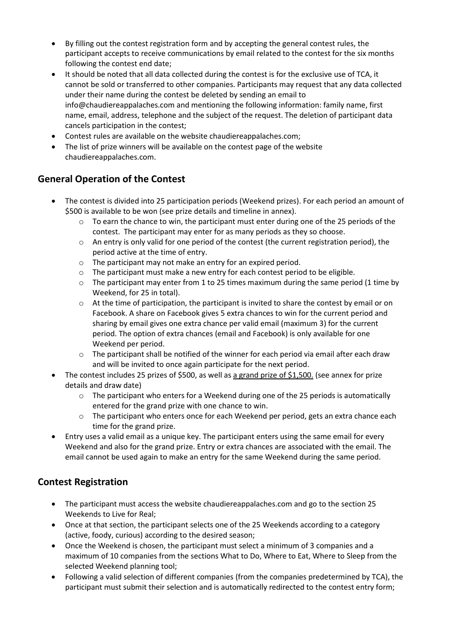- By filling out the contest registration form and by accepting the general contest rules, the participant accepts to receive communications by email related to the contest for the six months following the contest end date;
- It should be noted that all data collected during the contest is for the exclusive use of TCA, it cannot be sold or transferred to other companies. Participants may request that any data collected under their name during the contest be deleted by sending an email to info@chaudiereappalaches.com and mentioning the following information: family name, first name, email, address, telephone and the subject of the request. The deletion of participant data cancels participation in the contest;
- Contest rules are available on the website chaudiereappalaches.com;
- The list of prize winners will be available on the contest page of the website chaudiereappalaches.com.

# **General Operation of the Contest**

- The contest is divided into 25 participation periods (Weekend prizes). For each period an amount of \$500 is available to be won (see prize details and timeline in annex).
	- $\circ$  To earn the chance to win, the participant must enter during one of the 25 periods of the contest. The participant may enter for as many periods as they so choose.
	- $\circ$  An entry is only valid for one period of the contest (the current registration period), the period active at the time of entry.
	- o The participant may not make an entry for an expired period.
	- $\circ$  The participant must make a new entry for each contest period to be eligible.
	- $\circ$  The participant may enter from 1 to 25 times maximum during the same period (1 time by Weekend, for 25 in total).
	- o At the time of participation, the participant is invited to share the contest by email or on Facebook. A share on Facebook gives 5 extra chances to win for the current period and sharing by email gives one extra chance per valid email (maximum 3) for the current period. The option of extra chances (email and Facebook) is only available for one Weekend per period.
	- $\circ$  The participant shall be notified of the winner for each period via email after each draw and will be invited to once again participate for the next period.
- The contest includes 25 prizes of \$500, as well as a grand prize of \$1,500. (see annex for prize details and draw date)
	- o The participant who enters for a Weekend during one of the 25 periods is automatically entered for the grand prize with one chance to win.
	- o The participant who enters once for each Weekend per period, gets an extra chance each time for the grand prize.
- Entry uses a valid email as a unique key. The participant enters using the same email for every Weekend and also for the grand prize. Entry or extra chances are associated with the email. The email cannot be used again to make an entry for the same Weekend during the same period.

# **Contest Registration**

- The participant must access the website chaudiereappalaches.com and go to the section 25 Weekends to Live for Real;
- Once at that section, the participant selects one of the 25 Weekends according to a category (active, foody, curious) according to the desired season;
- Once the Weekend is chosen, the participant must select a minimum of 3 companies and a maximum of 10 companies from the sections What to Do, Where to Eat, Where to Sleep from the selected Weekend planning tool;
- Following a valid selection of different companies (from the companies predetermined by TCA), the participant must submit their selection and is automatically redirected to the contest entry form;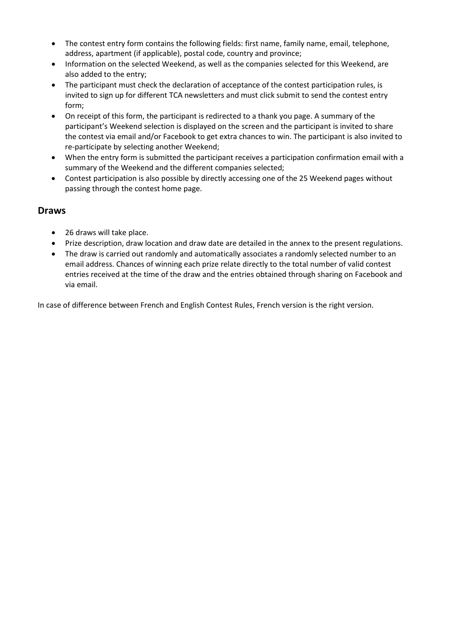- The contest entry form contains the following fields: first name, family name, email, telephone, address, apartment (if applicable), postal code, country and province;
- Information on the selected Weekend, as well as the companies selected for this Weekend, are also added to the entry;
- The participant must check the declaration of acceptance of the contest participation rules, is invited to sign up for different TCA newsletters and must click submit to send the contest entry form;
- On receipt of this form, the participant is redirected to a thank you page. A summary of the participant's Weekend selection is displayed on the screen and the participant is invited to share the contest via email and/or Facebook to get extra chances to win. The participant is also invited to re-participate by selecting another Weekend;
- When the entry form is submitted the participant receives a participation confirmation email with a summary of the Weekend and the different companies selected;
- Contest participation is also possible by directly accessing one of the 25 Weekend pages without passing through the contest home page.

# **Draws**

- 26 draws will take place.
- Prize description, draw location and draw date are detailed in the annex to the present regulations.
- The draw is carried out randomly and automatically associates a randomly selected number to an email address. Chances of winning each prize relate directly to the total number of valid contest entries received at the time of the draw and the entries obtained through sharing on Facebook and via email.

In case of difference between French and English Contest Rules, French version is the right version.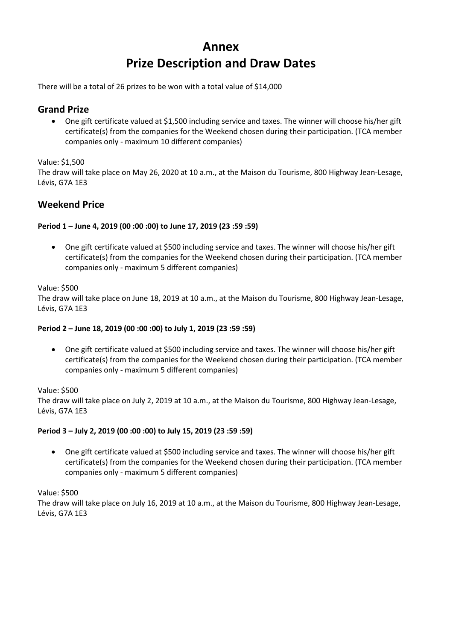# **Annex Prize Description and Draw Dates**

There will be a total of 26 prizes to be won with a total value of \$14,000

# **Grand Prize**

• One gift certificate valued at \$1,500 including service and taxes. The winner will choose his/her gift certificate(s) from the companies for the Weekend chosen during their participation. (TCA member companies only - maximum 10 different companies)

Value: \$1,500

The draw will take place on May 26, 2020 at 10 a.m., at the Maison du Tourisme, 800 Highway Jean-Lesage, Lévis, G7A 1E3

# **Weekend Price**

# **Period 1 – June 4, 2019 (00 :00 :00) to June 17, 2019 (23 :59 :59)**

• One gift certificate valued at \$500 including service and taxes. The winner will choose his/her gift certificate(s) from the companies for the Weekend chosen during their participation. (TCA member companies only - maximum 5 different companies)

#### Value: \$500

The draw will take place on June 18, 2019 at 10 a.m., at the Maison du Tourisme, 800 Highway Jean-Lesage, Lévis, G7A 1E3

# **Period 2 – June 18, 2019 (00 :00 :00) to July 1, 2019 (23 :59 :59)**

• One gift certificate valued at \$500 including service and taxes. The winner will choose his/her gift certificate(s) from the companies for the Weekend chosen during their participation. (TCA member companies only - maximum 5 different companies)

Value: \$500

The draw will take place on July 2, 2019 at 10 a.m., at the Maison du Tourisme, 800 Highway Jean-Lesage, Lévis, G7A 1E3

# **Period 3 – July 2, 2019 (00 :00 :00) to July 15, 2019 (23 :59 :59)**

• One gift certificate valued at \$500 including service and taxes. The winner will choose his/her gift certificate(s) from the companies for the Weekend chosen during their participation. (TCA member companies only - maximum 5 different companies)

Value: \$500

The draw will take place on July 16, 2019 at 10 a.m., at the Maison du Tourisme, 800 Highway Jean-Lesage, Lévis, G7A 1E3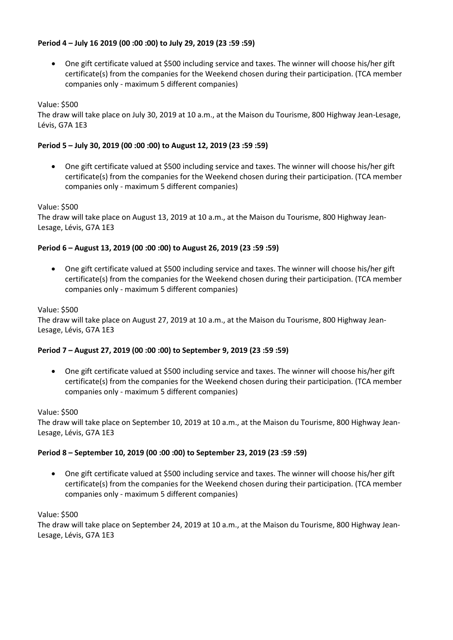# **Period 4 – July 16 2019 (00 :00 :00) to July 29, 2019 (23 :59 :59)**

• One gift certificate valued at \$500 including service and taxes. The winner will choose his/her gift certificate(s) from the companies for the Weekend chosen during their participation. (TCA member companies only - maximum 5 different companies)

# Value: \$500

The draw will take place on July 30, 2019 at 10 a.m., at the Maison du Tourisme, 800 Highway Jean-Lesage, Lévis, G7A 1E3

#### **Period 5 – July 30, 2019 (00 :00 :00) to August 12, 2019 (23 :59 :59)**

• One gift certificate valued at \$500 including service and taxes. The winner will choose his/her gift certificate(s) from the companies for the Weekend chosen during their participation. (TCA member companies only - maximum 5 different companies)

#### Value: \$500

The draw will take place on August 13, 2019 at 10 a.m., at the Maison du Tourisme, 800 Highway Jean-Lesage, Lévis, G7A 1E3

#### **Period 6 – August 13, 2019 (00 :00 :00) to August 26, 2019 (23 :59 :59)**

• One gift certificate valued at \$500 including service and taxes. The winner will choose his/her gift certificate(s) from the companies for the Weekend chosen during their participation. (TCA member companies only - maximum 5 different companies)

#### Value: \$500

The draw will take place on August 27, 2019 at 10 a.m., at the Maison du Tourisme, 800 Highway Jean-Lesage, Lévis, G7A 1E3

#### **Period 7 – August 27, 2019 (00 :00 :00) to September 9, 2019 (23 :59 :59)**

• One gift certificate valued at \$500 including service and taxes. The winner will choose his/her gift certificate(s) from the companies for the Weekend chosen during their participation. (TCA member companies only - maximum 5 different companies)

#### Value: \$500

The draw will take place on September 10, 2019 at 10 a.m., at the Maison du Tourisme, 800 Highway Jean-Lesage, Lévis, G7A 1E3

# **Period 8 – September 10, 2019 (00 :00 :00) to September 23, 2019 (23 :59 :59)**

• One gift certificate valued at \$500 including service and taxes. The winner will choose his/her gift certificate(s) from the companies for the Weekend chosen during their participation. (TCA member companies only - maximum 5 different companies)

#### Value: \$500

The draw will take place on September 24, 2019 at 10 a.m., at the Maison du Tourisme, 800 Highway Jean-Lesage, Lévis, G7A 1E3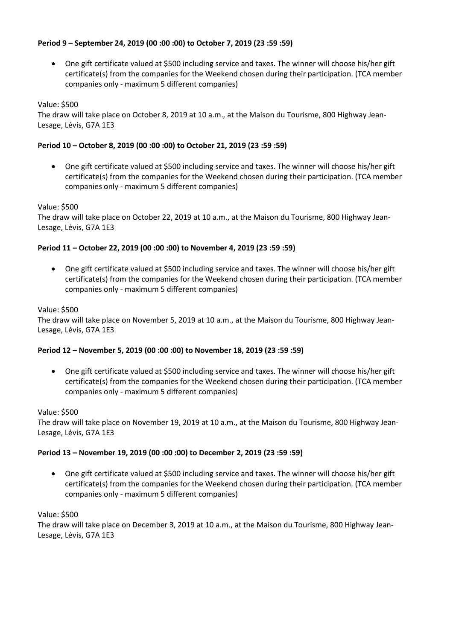# **Period 9 – September 24, 2019 (00 :00 :00) to October 7, 2019 (23 :59 :59)**

• One gift certificate valued at \$500 including service and taxes. The winner will choose his/her gift certificate(s) from the companies for the Weekend chosen during their participation. (TCA member companies only - maximum 5 different companies)

Value: \$500

The draw will take place on October 8, 2019 at 10 a.m., at the Maison du Tourisme, 800 Highway Jean-Lesage, Lévis, G7A 1E3

#### **Period 10 – October 8, 2019 (00 :00 :00) to October 21, 2019 (23 :59 :59)**

• One gift certificate valued at \$500 including service and taxes. The winner will choose his/her gift certificate(s) from the companies for the Weekend chosen during their participation. (TCA member companies only - maximum 5 different companies)

Value: \$500

The draw will take place on October 22, 2019 at 10 a.m., at the Maison du Tourisme, 800 Highway Jean-Lesage, Lévis, G7A 1E3

#### **Period 11 – October 22, 2019 (00 :00 :00) to November 4, 2019 (23 :59 :59)**

• One gift certificate valued at \$500 including service and taxes. The winner will choose his/her gift certificate(s) from the companies for the Weekend chosen during their participation. (TCA member companies only - maximum 5 different companies)

#### Value: \$500

The draw will take place on November 5, 2019 at 10 a.m., at the Maison du Tourisme, 800 Highway Jean-Lesage, Lévis, G7A 1E3

#### **Period 12 – November 5, 2019 (00 :00 :00) to November 18, 2019 (23 :59 :59)**

• One gift certificate valued at \$500 including service and taxes. The winner will choose his/her gift certificate(s) from the companies for the Weekend chosen during their participation. (TCA member companies only - maximum 5 different companies)

#### Value: \$500

The draw will take place on November 19, 2019 at 10 a.m., at the Maison du Tourisme, 800 Highway Jean-Lesage, Lévis, G7A 1E3

#### **Period 13 – November 19, 2019 (00 :00 :00) to December 2, 2019 (23 :59 :59)**

• One gift certificate valued at \$500 including service and taxes. The winner will choose his/her gift certificate(s) from the companies for the Weekend chosen during their participation. (TCA member companies only - maximum 5 different companies)

Value: \$500

The draw will take place on December 3, 2019 at 10 a.m., at the Maison du Tourisme, 800 Highway Jean-Lesage, Lévis, G7A 1E3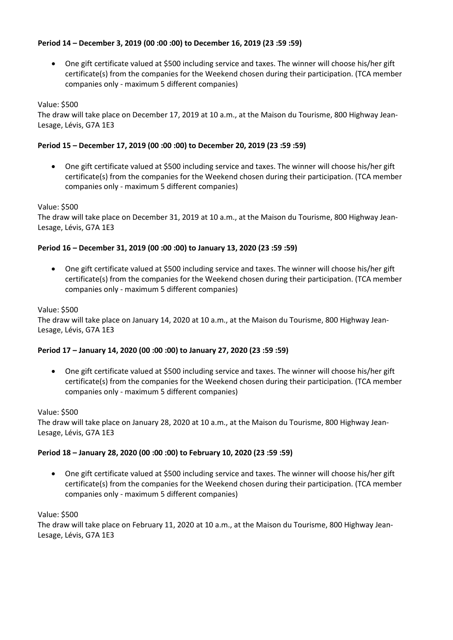# **Period 14 – December 3, 2019 (00 :00 :00) to December 16, 2019 (23 :59 :59)**

• One gift certificate valued at \$500 including service and taxes. The winner will choose his/her gift certificate(s) from the companies for the Weekend chosen during their participation. (TCA member companies only - maximum 5 different companies)

# Value: \$500

The draw will take place on December 17, 2019 at 10 a.m., at the Maison du Tourisme, 800 Highway Jean-Lesage, Lévis, G7A 1E3

# **Period 15 – December 17, 2019 (00 :00 :00) to December 20, 2019 (23 :59 :59)**

• One gift certificate valued at \$500 including service and taxes. The winner will choose his/her gift certificate(s) from the companies for the Weekend chosen during their participation. (TCA member companies only - maximum 5 different companies)

# Value: \$500

The draw will take place on December 31, 2019 at 10 a.m., at the Maison du Tourisme, 800 Highway Jean-Lesage, Lévis, G7A 1E3

# **Period 16 – December 31, 2019 (00 :00 :00) to January 13, 2020 (23 :59 :59)**

• One gift certificate valued at \$500 including service and taxes. The winner will choose his/her gift certificate(s) from the companies for the Weekend chosen during their participation. (TCA member companies only - maximum 5 different companies)

# Value: \$500

The draw will take place on January 14, 2020 at 10 a.m., at the Maison du Tourisme, 800 Highway Jean-Lesage, Lévis, G7A 1E3

# **Period 17 – January 14, 2020 (00 :00 :00) to January 27, 2020 (23 :59 :59)**

• One gift certificate valued at \$500 including service and taxes. The winner will choose his/her gift certificate(s) from the companies for the Weekend chosen during their participation. (TCA member companies only - maximum 5 different companies)

# Value: \$500

The draw will take place on January 28, 2020 at 10 a.m., at the Maison du Tourisme, 800 Highway Jean-Lesage, Lévis, G7A 1E3

# **Period 18 – January 28, 2020 (00 :00 :00) to February 10, 2020 (23 :59 :59)**

• One gift certificate valued at \$500 including service and taxes. The winner will choose his/her gift certificate(s) from the companies for the Weekend chosen during their participation. (TCA member companies only - maximum 5 different companies)

# Value: \$500

The draw will take place on February 11, 2020 at 10 a.m., at the Maison du Tourisme, 800 Highway Jean-Lesage, Lévis, G7A 1E3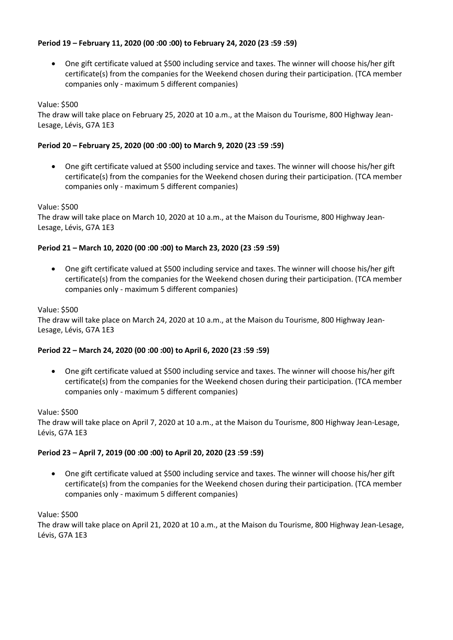# **Period 19 – February 11, 2020 (00 :00 :00) to February 24, 2020 (23 :59 :59)**

• One gift certificate valued at \$500 including service and taxes. The winner will choose his/her gift certificate(s) from the companies for the Weekend chosen during their participation. (TCA member companies only - maximum 5 different companies)

Value: \$500

The draw will take place on February 25, 2020 at 10 a.m., at the Maison du Tourisme, 800 Highway Jean-Lesage, Lévis, G7A 1E3

# **Period 20 – February 25, 2020 (00 :00 :00) to March 9, 2020 (23 :59 :59)**

• One gift certificate valued at \$500 including service and taxes. The winner will choose his/her gift certificate(s) from the companies for the Weekend chosen during their participation. (TCA member companies only - maximum 5 different companies)

Value: \$500

The draw will take place on March 10, 2020 at 10 a.m., at the Maison du Tourisme, 800 Highway Jean-Lesage, Lévis, G7A 1E3

# **Period 21 – March 10, 2020 (00 :00 :00) to March 23, 2020 (23 :59 :59)**

• One gift certificate valued at \$500 including service and taxes. The winner will choose his/her gift certificate(s) from the companies for the Weekend chosen during their participation. (TCA member companies only - maximum 5 different companies)

# Value: \$500

The draw will take place on March 24, 2020 at 10 a.m., at the Maison du Tourisme, 800 Highway Jean-Lesage, Lévis, G7A 1E3

# **Period 22 – March 24, 2020 (00 :00 :00) to April 6, 2020 (23 :59 :59)**

• One gift certificate valued at \$500 including service and taxes. The winner will choose his/her gift certificate(s) from the companies for the Weekend chosen during their participation. (TCA member companies only - maximum 5 different companies)

# Value: \$500

The draw will take place on April 7, 2020 at 10 a.m., at the Maison du Tourisme, 800 Highway Jean-Lesage, Lévis, G7A 1E3

# **Period 23 – April 7, 2019 (00 :00 :00) to April 20, 2020 (23 :59 :59)**

• One gift certificate valued at \$500 including service and taxes. The winner will choose his/her gift certificate(s) from the companies for the Weekend chosen during their participation. (TCA member companies only - maximum 5 different companies)

Value: \$500

The draw will take place on April 21, 2020 at 10 a.m., at the Maison du Tourisme, 800 Highway Jean-Lesage, Lévis, G7A 1E3